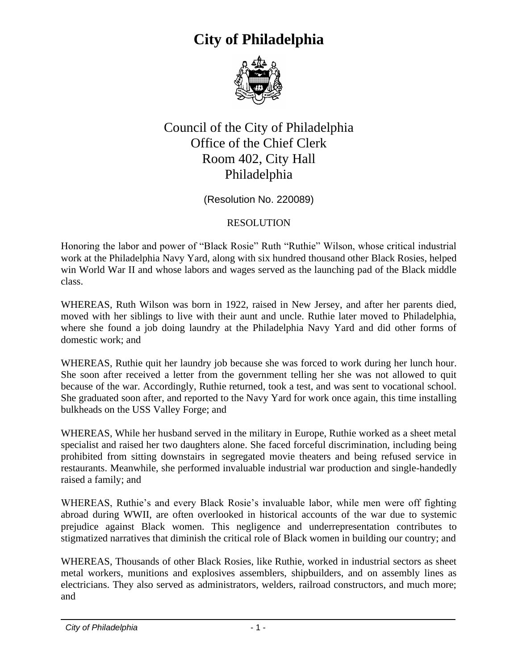

#### Council of the City of Philadelphia Office of the Chief Clerk Room 402, City Hall Philadelphia

(Resolution No. 220089)

#### RESOLUTION

Honoring the labor and power of "Black Rosie" Ruth "Ruthie" Wilson, whose critical industrial work at the Philadelphia Navy Yard, along with six hundred thousand other Black Rosies, helped win World War II and whose labors and wages served as the launching pad of the Black middle class.

WHEREAS, Ruth Wilson was born in 1922, raised in New Jersey, and after her parents died, moved with her siblings to live with their aunt and uncle. Ruthie later moved to Philadelphia, where she found a job doing laundry at the Philadelphia Navy Yard and did other forms of domestic work; and

WHEREAS, Ruthie quit her laundry job because she was forced to work during her lunch hour. She soon after received a letter from the government telling her she was not allowed to quit because of the war. Accordingly, Ruthie returned, took a test, and was sent to vocational school. She graduated soon after, and reported to the Navy Yard for work once again, this time installing bulkheads on the USS Valley Forge; and

WHEREAS, While her husband served in the military in Europe, Ruthie worked as a sheet metal specialist and raised her two daughters alone. She faced forceful discrimination, including being prohibited from sitting downstairs in segregated movie theaters and being refused service in restaurants. Meanwhile, she performed invaluable industrial war production and single-handedly raised a family; and

WHEREAS, Ruthie's and every Black Rosie's invaluable labor, while men were off fighting abroad during WWII, are often overlooked in historical accounts of the war due to systemic prejudice against Black women. This negligence and underrepresentation contributes to stigmatized narratives that diminish the critical role of Black women in building our country; and

WHEREAS, Thousands of other Black Rosies, like Ruthie, worked in industrial sectors as sheet metal workers, munitions and explosives assemblers, shipbuilders, and on assembly lines as electricians. They also served as administrators, welders, railroad constructors, and much more; and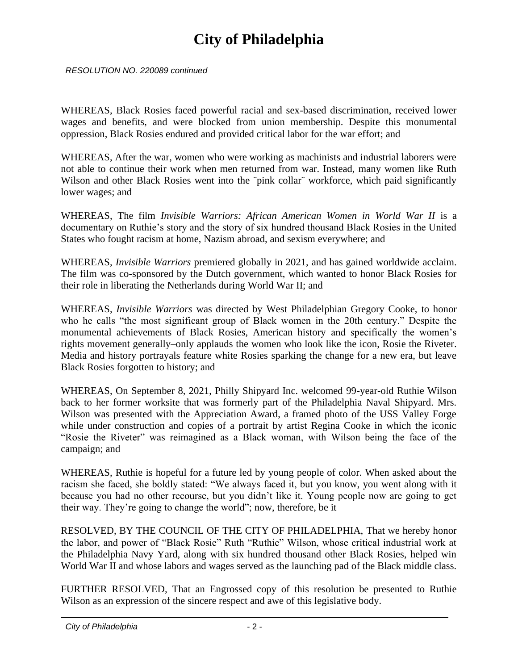*RESOLUTION NO. 220089 continued*

WHEREAS, Black Rosies faced powerful racial and sex-based discrimination, received lower wages and benefits, and were blocked from union membership. Despite this monumental oppression, Black Rosies endured and provided critical labor for the war effort; and

WHEREAS, After the war, women who were working as machinists and industrial laborers were not able to continue their work when men returned from war. Instead, many women like Ruth Wilson and other Black Rosies went into the "pink collar" workforce, which paid significantly lower wages; and

WHEREAS, The film *Invisible Warriors: African American Women in World War II* is a documentary on Ruthie's story and the story of six hundred thousand Black Rosies in the United States who fought racism at home, Nazism abroad, and sexism everywhere; and

WHEREAS, *Invisible Warriors* premiered globally in 2021, and has gained worldwide acclaim. The film was co-sponsored by the Dutch government, which wanted to honor Black Rosies for their role in liberating the Netherlands during World War II; and

WHEREAS, *Invisible Warriors* was directed by West Philadelphian Gregory Cooke, to honor who he calls "the most significant group of Black women in the 20th century." Despite the monumental achievements of Black Rosies, American history–and specifically the women's rights movement generally–only applauds the women who look like the icon, Rosie the Riveter. Media and history portrayals feature white Rosies sparking the change for a new era, but leave Black Rosies forgotten to history; and

WHEREAS, On September 8, 2021, Philly Shipyard Inc. welcomed 99-year-old Ruthie Wilson back to her former worksite that was formerly part of the Philadelphia Naval Shipyard. Mrs. Wilson was presented with the Appreciation Award, a framed photo of the USS Valley Forge while under construction and copies of a portrait by artist Regina Cooke in which the iconic "Rosie the Riveter" was reimagined as a Black woman, with Wilson being the face of the campaign; and

WHEREAS, Ruthie is hopeful for a future led by young people of color. When asked about the racism she faced, she boldly stated: "We always faced it, but you know, you went along with it because you had no other recourse, but you didn't like it. Young people now are going to get their way. They're going to change the world"; now, therefore, be it

RESOLVED, BY THE COUNCIL OF THE CITY OF PHILADELPHIA, That we hereby honor the labor, and power of "Black Rosie" Ruth "Ruthie" Wilson, whose critical industrial work at the Philadelphia Navy Yard, along with six hundred thousand other Black Rosies, helped win World War II and whose labors and wages served as the launching pad of the Black middle class.

FURTHER RESOLVED, That an Engrossed copy of this resolution be presented to Ruthie Wilson as an expression of the sincere respect and awe of this legislative body.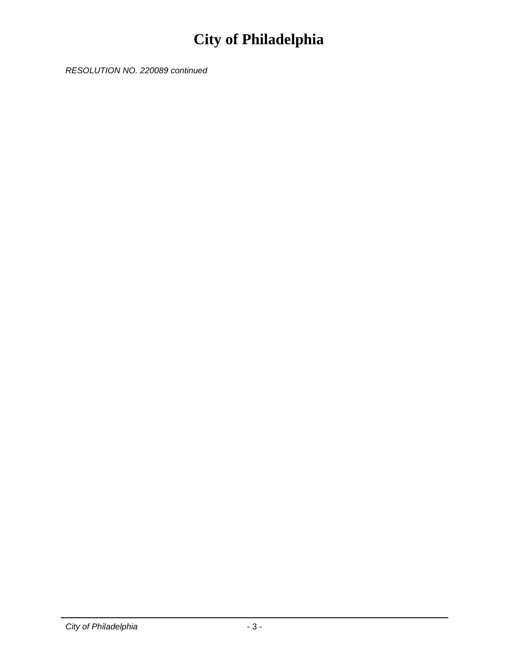*RESOLUTION NO. 220089 continued*